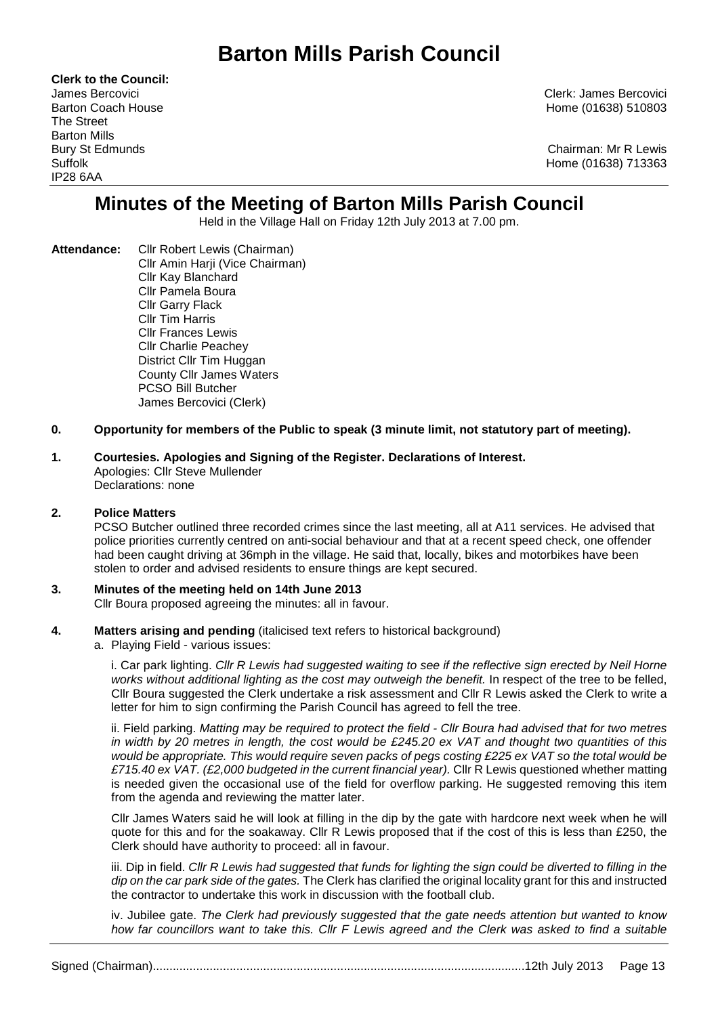# **Barton Mills Parish Council**

**Clerk to the Council:**  The Street Barton Mills IP28 6AA

James Bercovici Clerk: James Bercovici Barton Coach House **Home (01638)** 510803

Bury St Edmunds Chairman: Mr R Lewis Suffolk Home (01638) 713363

# **Minutes of the Meeting of Barton Mills Parish Council**

Held in the Village Hall on Friday 12th July 2013 at 7.00 pm.

**Attendance:** Cllr Robert Lewis (Chairman) Cllr Amin Harji (Vice Chairman) Cllr Kay Blanchard Cllr Pamela Boura Cllr Garry Flack Cllr Tim Harris Cllr Frances Lewis Cllr Charlie Peachey District Cllr Tim Huggan County Cllr James Waters PCSO Bill Butcher James Bercovici (Clerk)

#### **0. Opportunity for members of the Public to speak (3 minute limit, not statutory part of meeting).**

#### **1. Courtesies. Apologies and Signing of the Register. Declarations of Interest.**  Apologies: Cllr Steve Mullender Declarations: none

#### **2. Police Matters**

PCSO Butcher outlined three recorded crimes since the last meeting, all at A11 services. He advised that police priorities currently centred on anti-social behaviour and that at a recent speed check, one offender had been caught driving at 36mph in the village. He said that, locally, bikes and motorbikes have been stolen to order and advised residents to ensure things are kept secured.

#### **3. Minutes of the meeting held on 14th June 2013**

Cllr Boura proposed agreeing the minutes: all in favour.

- **4. Matters arising and pending** (italicised text refers to historical background)
	- a. Playing Field various issues:

i. Car park lighting. Cllr R Lewis had suggested waiting to see if the reflective sign erected by Neil Horne works without additional lighting as the cost may outweigh the benefit. In respect of the tree to be felled, Cllr Boura suggested the Clerk undertake a risk assessment and Cllr R Lewis asked the Clerk to write a letter for him to sign confirming the Parish Council has agreed to fell the tree.

ii. Field parking. Matting may be required to protect the field - Cllr Boura had advised that for two metres in width by 20 metres in length, the cost would be £245.20 ex VAT and thought two quantities of this would be appropriate. This would require seven packs of pegs costing £225 ex VAT so the total would be £715.40 ex VAT. (£2,000 budgeted in the current financial year). Cllr R Lewis questioned whether matting is needed given the occasional use of the field for overflow parking. He suggested removing this item from the agenda and reviewing the matter later.

Cllr James Waters said he will look at filling in the dip by the gate with hardcore next week when he will quote for this and for the soakaway. Cllr R Lewis proposed that if the cost of this is less than £250, the Clerk should have authority to proceed: all in favour.

iii. Dip in field. Cllr R Lewis had suggested that funds for lighting the sign could be diverted to filling in the dip on the car park side of the gates. The Clerk has clarified the original locality grant for this and instructed the contractor to undertake this work in discussion with the football club.

iv. Jubilee gate. The Clerk had previously suggested that the gate needs attention but wanted to know how far councillors want to take this. Cllr F Lewis agreed and the Clerk was asked to find a suitable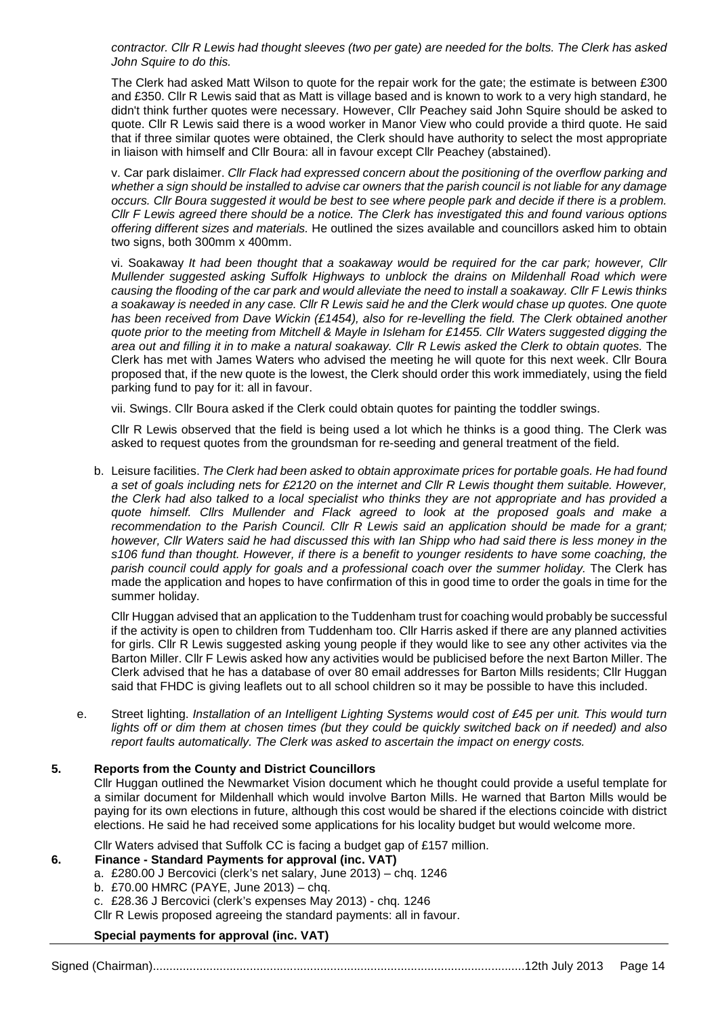contractor. Cllr R Lewis had thought sleeves (two per gate) are needed for the bolts. The Clerk has asked John Squire to do this.

The Clerk had asked Matt Wilson to quote for the repair work for the gate; the estimate is between £300 and £350. Cllr R Lewis said that as Matt is village based and is known to work to a very high standard, he didn't think further quotes were necessary. However, Cllr Peachey said John Squire should be asked to quote. Cllr R Lewis said there is a wood worker in Manor View who could provide a third quote. He said that if three similar quotes were obtained, the Clerk should have authority to select the most appropriate in liaison with himself and Cllr Boura: all in favour except Cllr Peachey (abstained).

v. Car park dislaimer. Cllr Flack had expressed concern about the positioning of the overflow parking and whether a sign should be installed to advise car owners that the parish council is not liable for any damage occurs. Cllr Boura suggested it would be best to see where people park and decide if there is a problem. Cllr F Lewis agreed there should be a notice. The Clerk has investigated this and found various options offering different sizes and materials. He outlined the sizes available and councillors asked him to obtain two signs, both 300mm x 400mm.

vi. Soakaway It had been thought that a soakaway would be required for the car park; however, Cllr Mullender suggested asking Suffolk Highways to unblock the drains on Mildenhall Road which were causing the flooding of the car park and would alleviate the need to install a soakaway. Cllr F Lewis thinks a soakaway is needed in any case. Cllr R Lewis said he and the Clerk would chase up quotes. One quote has been received from Dave Wickin (£1454), also for re-levelling the field. The Clerk obtained another quote prior to the meeting from Mitchell & Mayle in Isleham for £1455. Cllr Waters suggested digging the area out and filling it in to make a natural soakaway. Cllr R Lewis asked the Clerk to obtain quotes. The Clerk has met with James Waters who advised the meeting he will quote for this next week. Cllr Boura proposed that, if the new quote is the lowest, the Clerk should order this work immediately, using the field parking fund to pay for it: all in favour.

vii. Swings. Cllr Boura asked if the Clerk could obtain quotes for painting the toddler swings.

Cllr R Lewis observed that the field is being used a lot which he thinks is a good thing. The Clerk was asked to request quotes from the groundsman for re-seeding and general treatment of the field.

b. Leisure facilities. The Clerk had been asked to obtain approximate prices for portable goals. He had found a set of goals including nets for £2120 on the internet and Cllr R Lewis thought them suitable. However, the Clerk had also talked to a local specialist who thinks they are not appropriate and has provided a quote himself. Cllrs Mullender and Flack agreed to look at the proposed goals and make a recommendation to the Parish Council. Cllr R Lewis said an application should be made for a grant; however, Cllr Waters said he had discussed this with Ian Shipp who had said there is less money in the s106 fund than thought. However, if there is a benefit to younger residents to have some coaching, the parish council could apply for goals and a professional coach over the summer holiday. The Clerk has made the application and hopes to have confirmation of this in good time to order the goals in time for the summer holiday.

Cllr Huggan advised that an application to the Tuddenham trust for coaching would probably be successful if the activity is open to children from Tuddenham too. Cllr Harris asked if there are any planned activities for girls. Cllr R Lewis suggested asking young people if they would like to see any other activites via the Barton Miller. Cllr F Lewis asked how any activities would be publicised before the next Barton Miller. The Clerk advised that he has a database of over 80 email addresses for Barton Mills residents; Cllr Huggan said that FHDC is giving leaflets out to all school children so it may be possible to have this included.

e. Street lighting. Installation of an Intelligent Lighting Systems would cost of £45 per unit. This would turn lights off or dim them at chosen times (but they could be quickly switched back on if needed) and also report faults automatically. The Clerk was asked to ascertain the impact on energy costs.

#### **5. Reports from the County and District Councillors**

 Cllr Huggan outlined the Newmarket Vision document which he thought could provide a useful template for a similar document for Mildenhall which would involve Barton Mills. He warned that Barton Mills would be paying for its own elections in future, although this cost would be shared if the elections coincide with district elections. He said he had received some applications for his locality budget but would welcome more.

#### Cllr Waters advised that Suffolk CC is facing a budget gap of £157 million.

#### **6. Finance - Standard Payments for approval (inc. VAT)**

- a. £280.00 J Bercovici (clerk's net salary, June 2013) chq. 1246
- b. £70.00 HMRC (PAYE, June 2013) chq.
- c. £28.36 J Bercovici (clerk's expenses May 2013) chq. 1246

Cllr R Lewis proposed agreeing the standard payments: all in favour.

#### **Special payments for approval (inc. VAT)**

Signed (Chairman)...............................................................................................................12th July 2013 Page 14